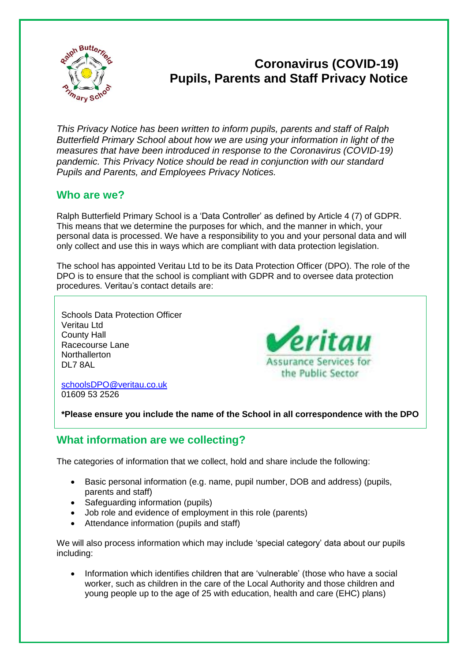

# **Coronavirus (COVID-19) Pupils, Parents and Staff Privacy Notice**

*This Privacy Notice has been written to inform pupils, parents and staff of Ralph Butterfield Primary School about how we are using your information in light of the measures that have been introduced in response to the Coronavirus (COVID-19) pandemic. This Privacy Notice should be read in conjunction with our standard Pupils and Parents, and Employees Privacy Notices.*

### **Who are we?**

Ralph Butterfield Primary School is a 'Data Controller' as defined by Article 4 (7) of GDPR. This means that we determine the purposes for which, and the manner in which, your personal data is processed. We have a responsibility to you and your personal data and will only collect and use this in ways which are compliant with data protection legislation.

The school has appointed Veritau Ltd to be its Data Protection Officer (DPO). The role of the DPO is to ensure that the school is compliant with GDPR and to oversee data protection procedures. Veritau's contact details are:

Schools Data Protection Officer Veritau Ltd County Hall Racecourse Lane **Northallerton** DL7 8AL



[schoolsDPO@veritau.co.uk](mailto:schoolsDPO@veritau.co.uk) 01609 53 2526

**\*Please ensure you include the name of the School in all correspondence with the DPO** 

## **What information are we collecting?**

The categories of information that we collect, hold and share include the following:

- Basic personal information (e.g. name, pupil number, DOB and address) (pupils, parents and staff)
- Safeguarding information (pupils)
- Job role and evidence of employment in this role (parents)
- Attendance information (pupils and staff)

We will also process information which may include 'special category' data about our pupils including:

 Information which identifies children that are 'vulnerable' (those who have a social worker, such as children in the care of the Local Authority and those children and young people up to the age of 25 with education, health and care (EHC) plans)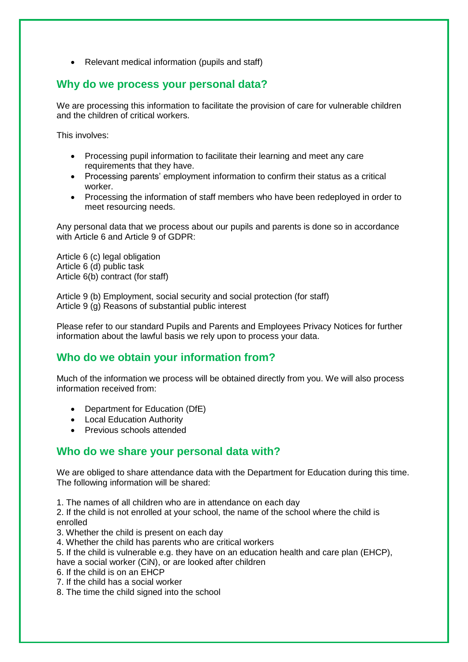• Relevant medical information (pupils and staff)

#### **Why do we process your personal data?**

We are processing this information to facilitate the provision of care for vulnerable children and the children of critical workers.

This involves:

- Processing pupil information to facilitate their learning and meet any care requirements that they have.
- Processing parents' employment information to confirm their status as a critical worker.
- Processing the information of staff members who have been redeployed in order to meet resourcing needs.

Any personal data that we process about our pupils and parents is done so in accordance with Article 6 and Article 9 of GDPR:

Article 6 (c) legal obligation Article 6 (d) public task Article 6(b) contract (for staff)

Article 9 (b) Employment, social security and social protection (for staff) Article 9 (g) Reasons of substantial public interest

Please refer to our standard Pupils and Parents and Employees Privacy Notices for further information about the lawful basis we rely upon to process your data.

#### **Who do we obtain your information from?**

Much of the information we process will be obtained directly from you. We will also process information received from:

- Department for Education (DfE)
- Local Education Authority
- Previous schools attended

#### **Who do we share your personal data with?**

We are obliged to share attendance data with the Department for Education during this time. The following information will be shared:

1. The names of all children who are in attendance on each day

2. If the child is not enrolled at your school, the name of the school where the child is enrolled

3. Whether the child is present on each day

- 4. Whether the child has parents who are critical workers
- 5. If the child is vulnerable e.g. they have on an education health and care plan (EHCP),
- have a social worker (CiN), or are looked after children
- 6. If the child is on an EHCP
- 7. If the child has a social worker
- 8. The time the child signed into the school